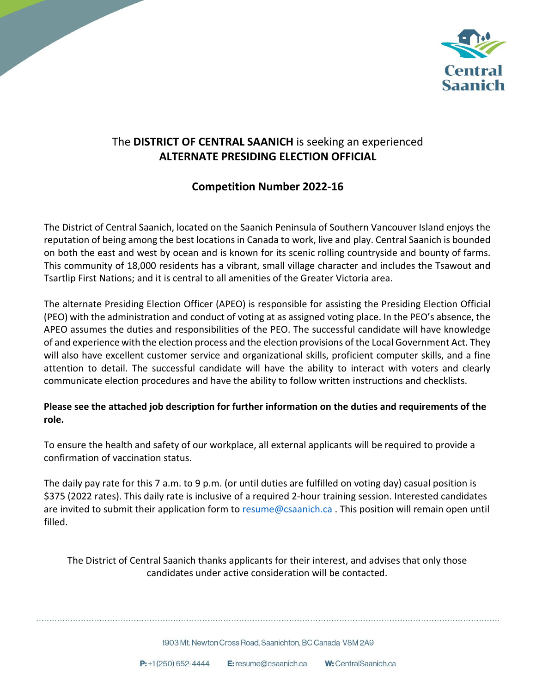

## The **DISTRICT OF CENTRAL SAANICH** is seeking an experienced **ALTERNATE PRESIDING ELECTION OFFICIAL**

## **Competition Number 2022-16**

The District of Central Saanich, located on the Saanich Peninsula of Southern Vancouver Island enjoys the reputation of being among the best locations in Canada to work, live and play. Central Saanich is bounded on both the east and west by ocean and is known for its scenic rolling countryside and bounty of farms. This community of 18,000 residents has a vibrant, small village character and includes the Tsawout and Tsartlip First Nations; and it is central to all amenities of the Greater Victoria area.

The alternate Presiding Election Officer (APEO) is responsible for assisting the Presiding Election Official (PEO) with the administration and conduct of voting at as assigned voting place. In the PEO's absence, the APEO assumes the duties and responsibilities of the PEO. The successful candidate will have knowledge of and experience with the election process and the election provisions of the Local Government Act. They will also have excellent customer service and organizational skills, proficient computer skills, and a fine attention to detail. The successful candidate will have the ability to interact with voters and clearly communicate election procedures and have the ability to follow written instructions and checklists.

### **Please see the attached job description for further information on the duties and requirements of the role.**

To ensure the health and safety of our workplace, all external applicants will be required to provide a confirmation of vaccination status.

The daily pay rate for this 7 a.m. to 9 p.m. (or until duties are fulfilled on voting day) casual position is \$375 (2022 rates). This daily rate is inclusive of a required 2-hour training session. Interested candidates are invited to submit their application form to [resume@csaanich.ca](mailto:resume@csaanich.ca). This position will remain open until filled.

The District of Central Saanich thanks applicants for their interest, and advises that only those candidates under active consideration will be contacted.

1903 Mt. Newton Cross Road. Saanichton, BC Canada V8M 2A9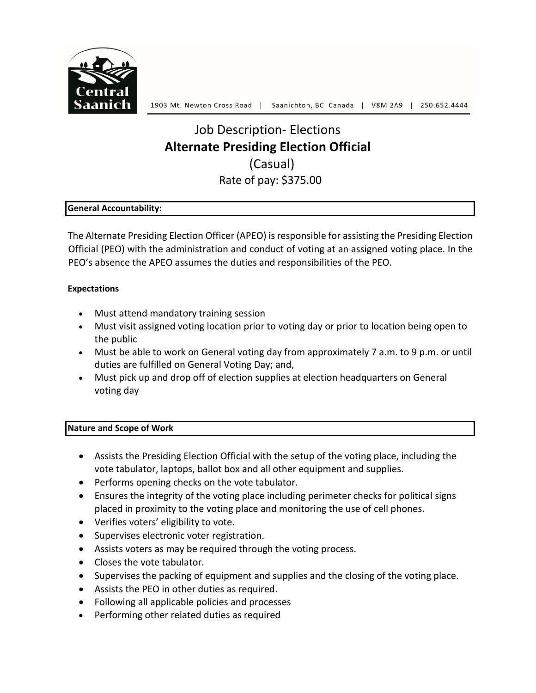

# Job Description- Elections **Alternate Presiding Election Official** (Casual) Rate of pay: \$375.00

#### **General Accountability:**

The Alternate Presiding Election Officer (APEO) is responsible for assisting the Presiding Election Official (PEO) with the administration and conduct of voting at an assigned voting place. In the PEO's absence the APEO assumes the duties and responsibilities of the PEO.

#### **Expectations**

- Must attend mandatory training session
- Must visit assigned voting location prior to voting day or prior to location being open to the public
- Must be able to work on General voting day from approximately 7 a.m. to 9 p.m. or until duties are fulfilled on General Voting Day; and,
- Must pick up and drop off of election supplies at election headquarters on General voting day

#### **Nature and Scope of Work**

- Assists the Presiding Election Official with the setup of the voting place, including the vote tabulator, laptops, ballot box and all other equipment and supplies.
- Performs opening checks on the vote tabulator.
- Ensures the integrity of the voting place including perimeter checks for political signs placed in proximity to the voting place and monitoring the use of cell phones.
- Verifies voters' eligibility to vote.
- Supervises electronic voter registration.
- Assists voters as may be required through the voting process.
- Closes the vote tabulator.
- Supervises the packing of equipment and supplies and the closing of the voting place.
- Assists the PEO in other duties as required.
- Following all applicable policies and processes
- Performing other related duties as required